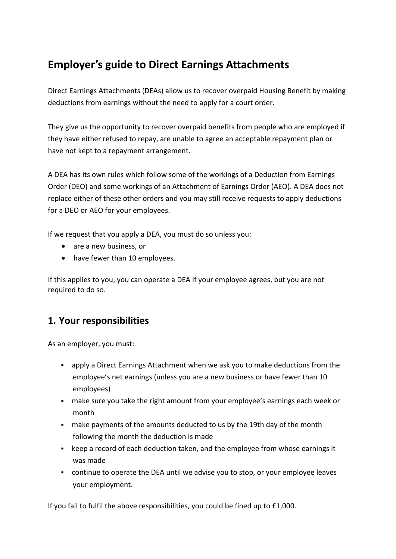# **Employer's guide to Direct Earnings Attachments**

Direct Earnings Attachments (DEAs) allow us to recover overpaid Housing Benefit by making deductions from earnings without the need to apply for a court order.

They give us the opportunity to recover overpaid benefits from people who are employed if they have either refused to repay, are unable to agree an acceptable repayment plan or have not kept to a repayment arrangement.

A DEA has its own rules which follow some of the workings of a Deduction from Earnings Order (DEO) and some workings of an Attachment of Earnings Order (AEO). A DEA does not replace either of these other orders and you may still receive requests to apply deductions for a DEO or AEO for your employees.

If we request that you apply a DEA, you must do so unless you:

- are a new business, or
- have fewer than 10 employees.

If this applies to you, you can operate a DEA if your employee agrees, but you are not required to do so.

# **1. Your responsibilities**

As an employer, you must:

- apply a Direct Earnings Attachment when we ask you to make deductions from the employee's net earnings (unless you are a new business or have fewer than 10 employees)
- make sure you take the right amount from your employee's earnings each week or month
- make payments of the amounts deducted to us by the 19th day of the month following the month the deduction is made
- keep a record of each deduction taken, and the employee from whose earnings it was made
- continue to operate the DEA until we advise you to stop, or your employee leaves your employment.

If you fail to fulfil the above responsibilities, you could be fined up to £1,000.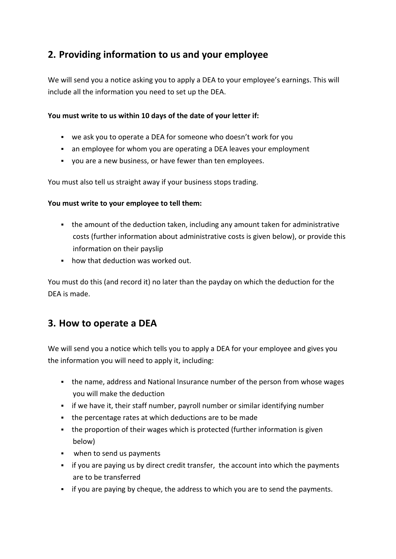# **2. Providing information to us and your employee**

We will send you a notice asking you to apply a DEA to your employee's earnings. This will include all the information you need to set up the DEA.

#### **You must write to us within 10 days of the date of your letter if:**

- we ask you to operate a DEA for someone who doesn't work for you
- an employee for whom you are operating a DEA leaves your employment
- you are a new business, or have fewer than ten employees.

You must also tell us straight away if your business stops trading.

#### **You must write to your employee to tell them:**

- the amount of the deduction taken, including any amount taken for administrative costs (further information about administrative costs is given below), or provide this information on their payslip
- how that deduction was worked out.

You must do this (and record it) no later than the payday on which the deduction for the DEA is made.

## **3. How to operate a DEA**

We will send you a notice which tells you to apply a DEA for your employee and gives you the information you will need to apply it, including:

- the name, address and National Insurance number of the person from whose wages you will make the deduction
- if we have it, their staff number, payroll number or similar identifying number
- the percentage rates at which deductions are to be made
- the proportion of their wages which is protected (further information is given below)
- **when to send us payments**
- if you are paying us by direct credit transfer, the account into which the payments are to be transferred
- if you are paying by cheque, the address to which you are to send the payments.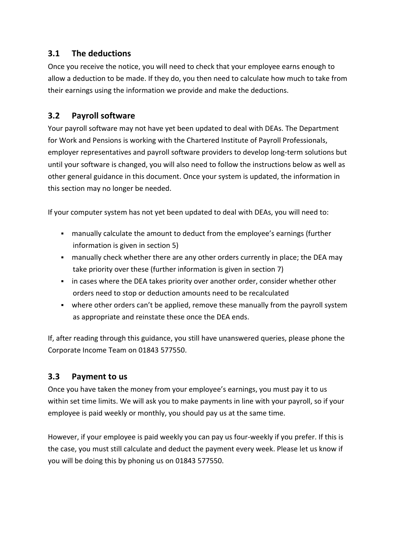### **3.1 The deductions**

Once you receive the notice, you will need to check that your employee earns enough to allow a deduction to be made. If they do, you then need to calculate how much to take from their earnings using the information we provide and make the deductions.

#### **3.2 Payroll software**

Your payroll software may not have yet been updated to deal with DEAs. The Department for Work and Pensions is working with the Chartered Institute of Payroll Professionals, employer representatives and payroll software providers to develop long-term solutions but until your software is changed, you will also need to follow the instructions below as well as other general guidance in this document. Once your system is updated, the information in this section may no longer be needed.

If your computer system has not yet been updated to deal with DEAs, you will need to:

- manually calculate the amount to deduct from the employee's earnings (further information is given in section 5)
- manually check whether there are any other orders currently in place; the DEA may take priority over these (further information is given in section 7)
- in cases where the DEA takes priority over another order, consider whether other orders need to stop or deduction amounts need to be recalculated
- where other orders can't be applied, remove these manually from the payroll system as appropriate and reinstate these once the DEA ends.

If, after reading through this guidance, you still have unanswered queries, please phone the Corporate Income Team on 01843 577550.

### **3.3 Payment to us**

Once you have taken the money from your employee's earnings, you must pay it to us within set time limits. We will ask you to make payments in line with your payroll, so if your employee is paid weekly or monthly, you should pay us at the same time.

However, if your employee is paid weekly you can pay us four-weekly if you prefer. If this is the case, you must still calculate and deduct the payment every week. Please let us know if you will be doing this by phoning us on 01843 577550.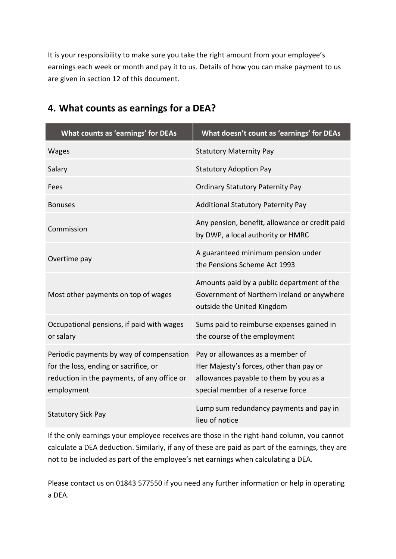It is your responsibility to make sure you take the right amount from your employee's earnings each week or month and pay it to us. Details of how you can make payment to us are given in section 12 of this document.

| What counts as 'earnings' for DEAs                                                                                                             | What doesn't count as 'earnings' for DEAs                                                                                                                  |
|------------------------------------------------------------------------------------------------------------------------------------------------|------------------------------------------------------------------------------------------------------------------------------------------------------------|
| <b>Wages</b>                                                                                                                                   | <b>Statutory Maternity Pay</b>                                                                                                                             |
| Salary                                                                                                                                         | <b>Statutory Adoption Pay</b>                                                                                                                              |
| Fees                                                                                                                                           | <b>Ordinary Statutory Paternity Pay</b>                                                                                                                    |
| <b>Bonuses</b>                                                                                                                                 | <b>Additional Statutory Paternity Pay</b>                                                                                                                  |
| Commission                                                                                                                                     | Any pension, benefit, allowance or credit paid<br>by DWP, a local authority or HMRC                                                                        |
| Overtime pay                                                                                                                                   | A guaranteed minimum pension under<br>the Pensions Scheme Act 1993                                                                                         |
| Most other payments on top of wages                                                                                                            | Amounts paid by a public department of the<br>Government of Northern Ireland or anywhere<br>outside the United Kingdom                                     |
| Occupational pensions, if paid with wages<br>or salary                                                                                         | Sums paid to reimburse expenses gained in<br>the course of the employment                                                                                  |
| Periodic payments by way of compensation<br>for the loss, ending or sacrifice, or<br>reduction in the payments, of any office or<br>employment | Pay or allowances as a member of<br>Her Majesty's forces, other than pay or<br>allowances payable to them by you as a<br>special member of a reserve force |
| <b>Statutory Sick Pay</b>                                                                                                                      | Lump sum redundancy payments and pay in<br>lieu of notice                                                                                                  |

# **4. What counts as earnings for a DEA?**

If the only earnings your employee receives are those in the right-hand column, you cannot calculate a DEA deduction. Similarly, if any of these are paid as part of the earnings, they are not to be included as part of the employee's net earnings when calculating a DEA.

Please contact us on 01843 577550 if you need any further information or help in operating a DEA.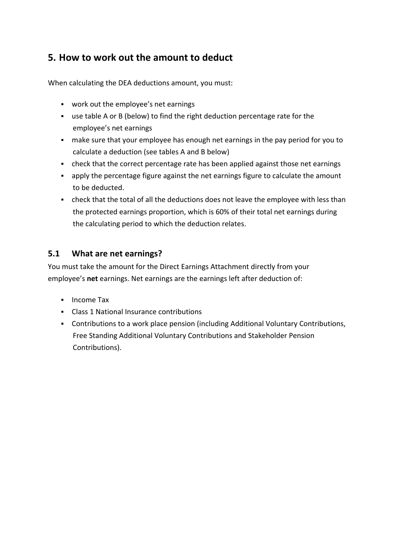# **5. How to work out the amount to deduct**

When calculating the DEA deductions amount, you must:

- work out the employee's net earnings
- use table A or B (below) to find the right deduction percentage rate for the employee's net earnings
- make sure that your employee has enough net earnings in the pay period for you to calculate a deduction (see tables A and B below)
- check that the correct percentage rate has been applied against those net earnings
- apply the percentage figure against the net earnings figure to calculate the amount to be deducted.
- check that the total of all the deductions does not leave the employee with less than the protected earnings proportion, which is 60% of their total net earnings during the calculating period to which the deduction relates.

#### **5.1 What are net earnings?**

You must take the amount for the Direct Earnings Attachment directly from your employee's **net** earnings. Net earnings are the earnings left after deduction of:

- **Income Tax**
- Class 1 National Insurance contributions
- Contributions to a work place pension (including Additional Voluntary Contributions, Free Standing Additional Voluntary Contributions and Stakeholder Pension Contributions).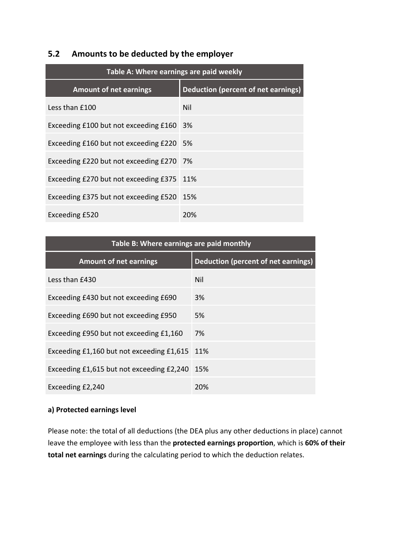#### **5.2 Amounts to be deducted by the employer**

| Table A: Where earnings are paid weekly   |                                            |  |
|-------------------------------------------|--------------------------------------------|--|
| <b>Amount of net earnings</b>             | <b>Deduction (percent of net earnings)</b> |  |
| Less than £100                            | Nil                                        |  |
| Exceeding £100 but not exceeding £160     | 3%                                         |  |
| Exceeding £160 but not exceeding £220     | - 5%                                       |  |
| Exceeding £220 but not exceeding £270 7%  |                                            |  |
| Exceeding £270 but not exceeding £375     | 11%                                        |  |
| Exceeding £375 but not exceeding £520 15% |                                            |  |
| Exceeding £520                            | 20%                                        |  |

| Table B: Where earnings are paid monthly  |                                            |  |  |  |
|-------------------------------------------|--------------------------------------------|--|--|--|
| <b>Amount of net earnings</b>             | <b>Deduction (percent of net earnings)</b> |  |  |  |
| Less than £430                            | Nil                                        |  |  |  |
| Exceeding £430 but not exceeding £690     | 3%                                         |  |  |  |
| Exceeding £690 but not exceeding £950     | 5%                                         |  |  |  |
| Exceeding £950 but not exceeding £1,160   | 7%                                         |  |  |  |
| Exceeding £1,160 but not exceeding £1,615 | 11%                                        |  |  |  |
| Exceeding £1,615 but not exceeding £2,240 | 15%                                        |  |  |  |
| Exceeding £2,240                          | 20%                                        |  |  |  |

#### **a) Protected earnings level**

Please note: the total of all deductions (the DEA plus any other deductions in place) cannot leave the employee with less than the **protected earnings proportion**, which is **60% of their total net earnings** during the calculating period to which the deduction relates.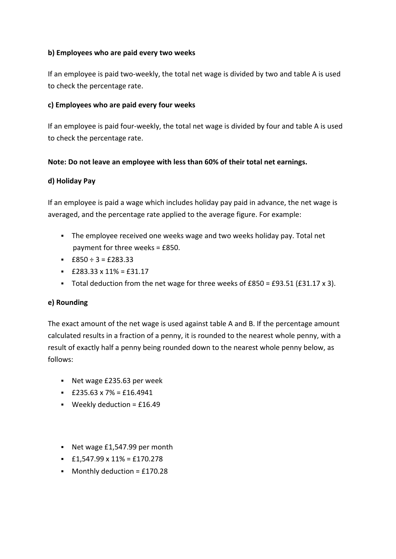#### **b) Employees who are paid every two weeks**

If an employee is paid two-weekly, the total net wage is divided by two and table A is used to check the percentage rate.

#### **c) Employees who are paid every four weeks**

If an employee is paid four-weekly, the total net wage is divided by four and table A is used to check the percentage rate.

#### **Note: Do not leave an employee with less than 60% of their total net earnings.**

#### **d) Holiday Pay**

If an employee is paid a wage which includes holiday pay paid in advance, the net wage is averaged, and the percentage rate applied to the average figure. For example:

- The employee received one weeks wage and two weeks holiday pay. Total net payment for three weeks = £850.
- $\pm$  £850 ÷ 3 = £283.33
- $\leq$  £283.33 x 11% = £31.17
- Total deduction from the net wage for three weeks of £850 = £93.51 (£31.17 x 3).

#### **e) Rounding**

The exact amount of the net wage is used against table A and B. If the percentage amount calculated results in a fraction of a penny, it is rounded to the nearest whole penny, with a result of exactly half a penny being rounded down to the nearest whole penny below, as follows:

- Net wage £235.63 per week
- $\leq$  £235.63 x 7% = £16.4941
- **Weekly deduction = £16.49**
- Net wage £1,547.99 per month
- $\pm 1,547.99 \times 11\% = \text{\pounds}170.278$
- $\blacksquare$  Monthly deduction = £170.28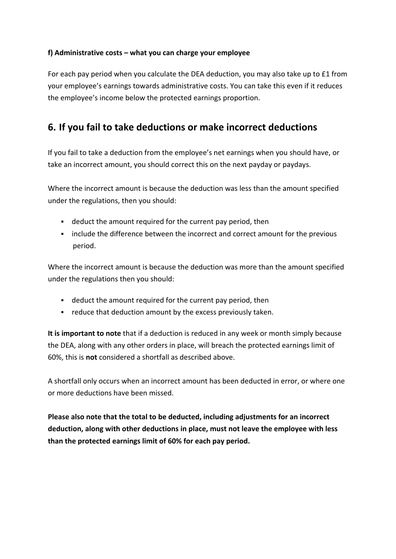#### **f) Administrative costs – what you can charge your employee**

For each pay period when you calculate the DEA deduction, you may also take up to £1 from your employee's earnings towards administrative costs. You can take this even if it reduces the employee's income below the protected earnings proportion.

# **6. If you fail to take deductions or make incorrect deductions**

If you fail to take a deduction from the employee's net earnings when you should have, or take an incorrect amount, you should correct this on the next payday or paydays.

Where the incorrect amount is because the deduction was less than the amount specified under the regulations, then you should:

- deduct the amount required for the current pay period, then
- include the difference between the incorrect and correct amount for the previous period.

Where the incorrect amount is because the deduction was more than the amount specified under the regulations then you should:

- deduct the amount required for the current pay period, then
- **•** reduce that deduction amount by the excess previously taken.

**It is important to note** that if a deduction is reduced in any week or month simply because the DEA, along with any other orders in place, will breach the protected earnings limit of 60%, this is **not** considered a shortfall as described above.

A shortfall only occurs when an incorrect amount has been deducted in error, or where one or more deductions have been missed.

**Please also note that the total to be deducted, including adjustments for an incorrect deduction, along with other deductions in place, must not leave the employee with less than the protected earnings limit of 60% for each pay period.**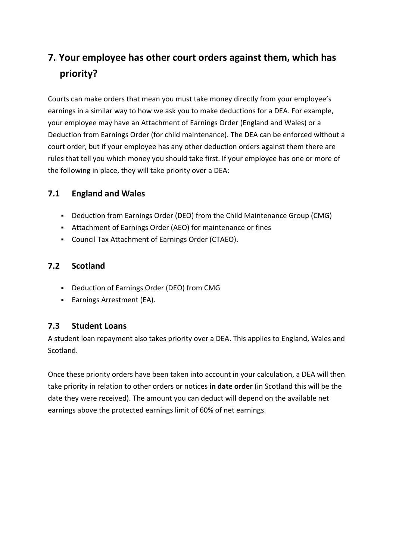# **7. Your employee has other court orders against them, which has priority?**

Courts can make orders that mean you must take money directly from your employee's earnings in a similar way to how we ask you to make deductions for a DEA. For example, your employee may have an Attachment of Earnings Order (England and Wales) or a Deduction from Earnings Order (for child maintenance). The DEA can be enforced without a court order, but if your employee has any other deduction orders against them there are rules that tell you which money you should take first. If your employee has one or more of the following in place, they will take priority over a DEA:

### **7.1 England and Wales**

- Deduction from Earnings Order (DEO) from the Child Maintenance Group (CMG)
- Attachment of Earnings Order (AEO) for maintenance or fines
- Council Tax Attachment of Earnings Order (CTAEO).

### **7.2 Scotland**

- Deduction of Earnings Order (DEO) from CMG
- **Earnings Arrestment (EA).**

### **7.3 Student Loans**

A student loan repayment also takes priority over a DEA. This applies to England, Wales and Scotland.

Once these priority orders have been taken into account in your calculation, a DEA will then take priority in relation to other orders or notices **in date order** (in Scotland this will be the date they were received). The amount you can deduct will depend on the available net earnings above the protected earnings limit of 60% of net earnings.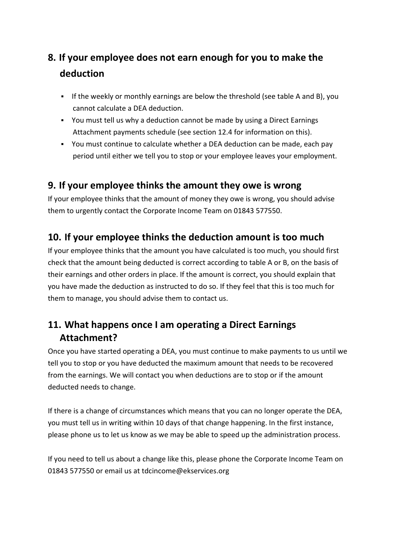# **8. If your employee does not earn enough for you to make the deduction**

- If the weekly or monthly earnings are below the threshold (see table A and B), you cannot calculate a DEA deduction.
- You must tell us why a deduction cannot be made by using a Direct Earnings Attachment payments schedule (see section 12.4 for information on this).
- You must continue to calculate whether a DEA deduction can be made, each pay period until either we tell you to stop or your employee leaves your employment.

## **9. If your employee thinks the amount they owe is wrong**

If your employee thinks that the amount of money they owe is wrong, you should advise them to urgently contact the Corporate Income Team on 01843 577550.

# **10. If your employee thinks the deduction amount is too much**

If your employee thinks that the amount you have calculated is too much, you should first check that the amount being deducted is correct according to table A or B, on the basis of their earnings and other orders in place. If the amount is correct, you should explain that you have made the deduction as instructed to do so. If they feel that this is too much for them to manage, you should advise them to contact us.

# **11. What happens once I am operating a Direct Earnings Attachment?**

Once you have started operating a DEA, you must continue to make payments to us until we tell you to stop or you have deducted the maximum amount that needs to be recovered from the earnings. We will contact you when deductions are to stop or if the amount deducted needs to change.

If there is a change of circumstances which means that you can no longer operate the DEA, you must tell us in writing within 10 days of that change happening. In the first instance, please phone us to let us know as we may be able to speed up the administration process.

If you need to tell us about a change like this, please phone the Corporate Income Team on 01843 577550 or email us at tdcincome@ekservices.org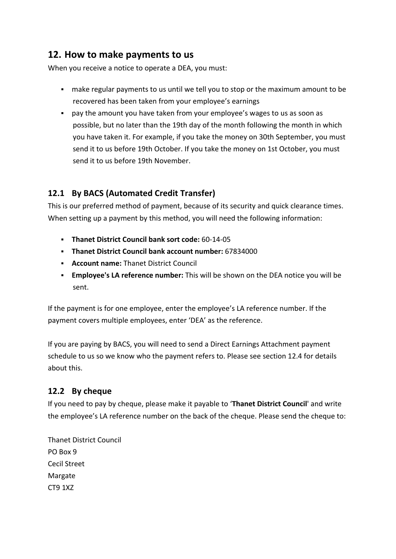## **12. How to make payments to us**

When you receive a notice to operate a DEA, you must:

- make regular payments to us until we tell you to stop or the maximum amount to be recovered has been taken from your employee's earnings
- pay the amount you have taken from your employee's wages to us as soon as possible, but no later than the 19th day of the month following the month in which you have taken it. For example, if you take the money on 30th September, you must send it to us before 19th October. If you take the money on 1st October, you must send it to us before 19th November.

### **12.1 By BACS (Automated Credit Transfer)**

This is our preferred method of payment, because of its security and quick clearance times. When setting up a payment by this method, you will need the following information:

- **Thanet District Council bank sort code:** 60-14-05
- **Thanet District Council bank account number:** 67834000
- **Account name:** Thanet District Council
- **Employee's LA reference number:** This will be shown on the DEA notice you will be sent.

If the payment is for one employee, enter the employee's LA reference number. If the payment covers multiple employees, enter 'DEA' as the reference.

If you are paying by BACS, you will need to send a Direct Earnings Attachment payment schedule to us so we know who the payment refers to. Please see section 12.4 for details about this.

### **12.2 By cheque**

If you need to pay by cheque, please make it payable to '**Thanet District Council**' and write the employee's LA reference number on the back of the cheque. Please send the cheque to:

Thanet District Council PO Box 9 Cecil Street Margate CT9 1XZ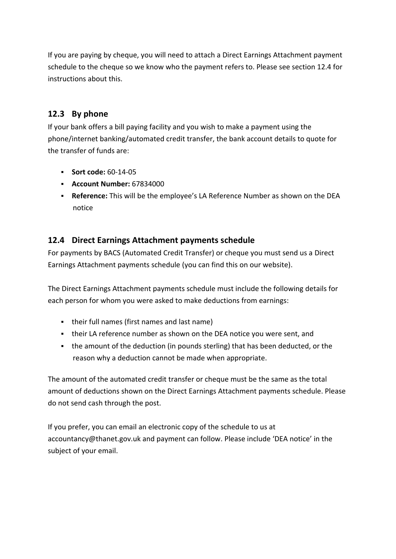If you are paying by cheque, you will need to attach a Direct Earnings Attachment payment schedule to the cheque so we know who the payment refers to. Please see section 12.4 for instructions about this.

### **12.3 By phone**

If your bank offers a bill paying facility and you wish to make a payment using the phone/internet banking/automated credit transfer, the bank account details to quote for the transfer of funds are:

- **Sort code:** 60-14-05
- **Account Number:** 67834000
- **Reference:** This will be the employee's LA Reference Number as shown on the DEA notice

### **12.4 Direct Earnings Attachment payments schedule**

For payments by BACS (Automated Credit Transfer) or cheque you must send us a [Direct](https://www.dover.gov.uk/Benefits/Housing-Benefit/Overpayments/Direct-Earnings-Attachments/DEA-Payments-schedule.doc)  [Earnings Attachment payments schedule](https://www.dover.gov.uk/Benefits/Housing-Benefit/Overpayments/Direct-Earnings-Attachments/DEA-Payments-schedule.doc) (you can find this on our website).

The Direct Earnings Attachment payments schedule must include the following details for each person for whom you were asked to make deductions from earnings:

- their full names (first names and last name)
- their LA reference number as shown on the DEA notice you were sent, and
- the amount of the deduction (in pounds sterling) that has been deducted, or the reason why a deduction cannot be made when appropriate.

The amount of the automated credit transfer or cheque must be the same as the total amount of deductions shown on the Direct Earnings Attachment payments schedule. Please do not send cash through the post.

If you prefer, you can email an electronic copy of the schedule to us at accountancy@thanet.gov.uk and payment can follow. Please include 'DEA notice' in the subject of your email.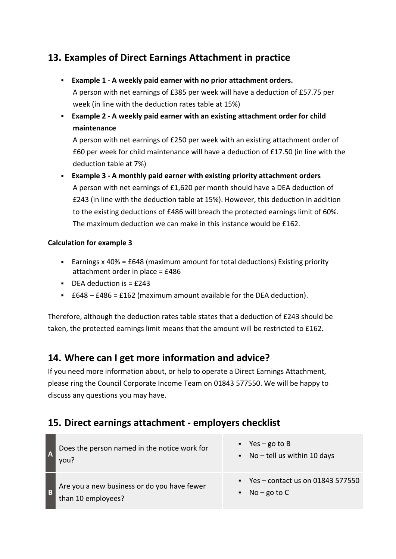# **13. Examples of Direct Earnings Attachment in practice**

- **Example 1 - A weekly paid earner with no prior attachment orders.** A person with net earnings of £385 per week will have a deduction of £57.75 per week (in line with the deduction rates table at 15%)
- **Example 2 - A weekly paid earner with an existing attachment order for child maintenance**

A person with net earnings of £250 per week with an existing attachment order of £60 per week for child maintenance will have a deduction of £17.50 (in line with the deduction table at 7%)

 **Example 3 - A monthly paid earner with existing priority attachment orders** A person with net earnings of £1,620 per month should have a DEA deduction of £243 (in line with the deduction table at 15%). However, this deduction in addition to the existing deductions of £486 will breach the protected earnings limit of 60%. The maximum deduction we can make in this instance would be £162.

#### **Calculation for example 3**

- Earnings x 40% = £648 (maximum amount for total deductions) Existing priority attachment order in place = £486
- $\blacksquare$  DEA deduction is  $\lightharpoonup$  £243
- $E648 E486 = E162$  (maximum amount available for the DEA deduction).

Therefore, although the deduction rates table states that a deduction of £243 should be taken, the protected earnings limit means that the amount will be restricted to £162.

## **14. Where can I get more information and advice?**

If you need more information about, or help to operate a Direct Earnings Attachment, please ring the Council Corporate Income Team on 01843 577550. We will be happy to discuss any questions you may have.

## **15. Direct earnings attachment - employers checklist**

| Does the person named in the notice work for<br>you?              | $Yes - go to B$<br>$\blacksquare$ No - tell us within 10 days                  |
|-------------------------------------------------------------------|--------------------------------------------------------------------------------|
| Are you a new business or do you have fewer<br>than 10 employees? | $\blacksquare$ Yes – contact us on 01843 577550<br>$\blacksquare$ No – go to C |